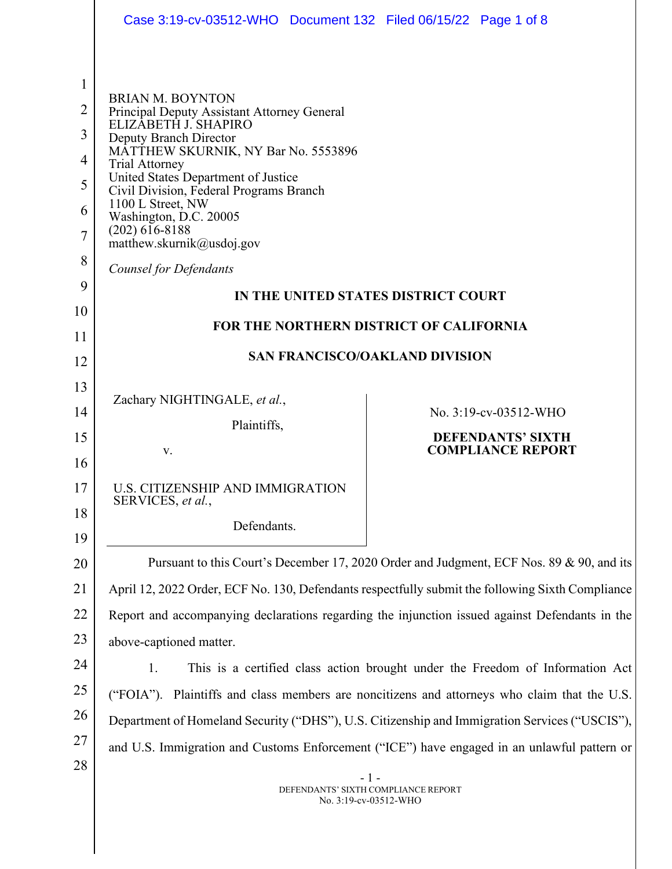|                | Case 3:19-cv-03512-WHO  Document 132  Filed 06/15/22  Page 1 of 8                             |                                                                                                  |
|----------------|-----------------------------------------------------------------------------------------------|--------------------------------------------------------------------------------------------------|
|                |                                                                                               |                                                                                                  |
| 1              |                                                                                               |                                                                                                  |
| $\overline{2}$ | <b>BRIAN M. BOYNTON</b><br>Principal Deputy Assistant Attorney General                        |                                                                                                  |
| 3              | ELIZÁBETH J. SHAPIRO<br>Deputy Branch Director                                                |                                                                                                  |
| 4              | MATTHEW SKURNIK, NY Bar No. 5553896<br><b>Trial Attorney</b>                                  |                                                                                                  |
| 5              | United States Department of Justice<br>Civil Division, Federal Programs Branch                |                                                                                                  |
| 6              | 1100 L Street, NW<br>Washington, D.C. 20005                                                   |                                                                                                  |
| 7              | $(202)$ 616-8188<br>matthew.skurnik@usdoj.gov                                                 |                                                                                                  |
| 8              | <b>Counsel for Defendants</b>                                                                 |                                                                                                  |
| 9              |                                                                                               | IN THE UNITED STATES DISTRICT COURT                                                              |
| 10<br>11       |                                                                                               | FOR THE NORTHERN DISTRICT OF CALIFORNIA                                                          |
| 12             |                                                                                               | <b>SAN FRANCISCO/OAKLAND DIVISION</b>                                                            |
| 13             |                                                                                               |                                                                                                  |
| 14             | Zachary NIGHTINGALE, et al.,                                                                  | No. 3:19-cv-03512-WHO                                                                            |
| 15             | Plaintiffs,                                                                                   | <b>DEFENDANTS' SIXTH</b>                                                                         |
| 16             | V.                                                                                            | <b>COMPLIANCE REPORT</b>                                                                         |
| 17             | U.S. CITIZENSHIP AND IMMIGRATION<br>SERVICES, et al.,                                         |                                                                                                  |
| 18             | Defendants.                                                                                   |                                                                                                  |
| 19<br>20       |                                                                                               | Pursuant to this Court's December 17, 2020 Order and Judgment, ECF Nos. 89 & 90, and its         |
| 21             |                                                                                               | April 12, 2022 Order, ECF No. 130, Defendants respectfully submit the following Sixth Compliance |
| 22             |                                                                                               | Report and accompanying declarations regarding the injunction issued against Defendants in the   |
| 23             | above-captioned matter.                                                                       |                                                                                                  |
| 24             | 1.                                                                                            | This is a certified class action brought under the Freedom of Information Act                    |
| 25             | ("FOIA"). Plaintiffs and class members are noncitizens and attorneys who claim that the U.S.  |                                                                                                  |
| 26             | Department of Homeland Security ("DHS"), U.S. Citizenship and Immigration Services ("USCIS"), |                                                                                                  |
| 27             | and U.S. Immigration and Customs Enforcement ("ICE") have engaged in an unlawful pattern or   |                                                                                                  |
| 28             |                                                                                               | $-1-$<br>DEFENDANTS' SIXTH COMPLIANCE REPORT<br>No. 3:19-cv-03512-WHO                            |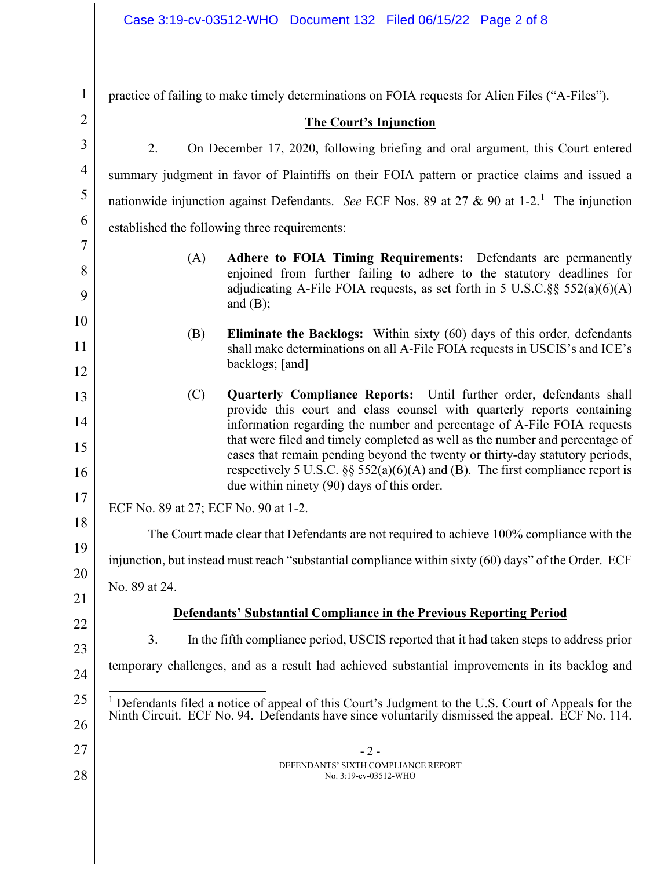| $\mathbf{1}$   | practice of failing to make timely determinations on FOIA requests for Alien Files ("A-Files").                                                                                                                                                                                                 |  |
|----------------|-------------------------------------------------------------------------------------------------------------------------------------------------------------------------------------------------------------------------------------------------------------------------------------------------|--|
| $\overline{2}$ | <b>The Court's Injunction</b>                                                                                                                                                                                                                                                                   |  |
| 3              | 2.<br>On December 17, 2020, following briefing and oral argument, this Court entered                                                                                                                                                                                                            |  |
| 4              | summary judgment in favor of Plaintiffs on their FOIA pattern or practice claims and issued a                                                                                                                                                                                                   |  |
| 5              | nationwide injunction against Defendants. See ECF Nos. 89 at 27 & 90 at 1-2. <sup>1</sup> The injunction                                                                                                                                                                                        |  |
| 6              | established the following three requirements:                                                                                                                                                                                                                                                   |  |
| 7              | Adhere to FOIA Timing Requirements: Defendants are permanently<br>(A)                                                                                                                                                                                                                           |  |
| 8              | enjoined from further failing to adhere to the statutory deadlines for                                                                                                                                                                                                                          |  |
| 9              | adjudicating A-File FOIA requests, as set forth in 5 U.S.C. §§ $552(a)(6)(A)$<br>and $(B)$ ;                                                                                                                                                                                                    |  |
| 10             | <b>Eliminate the Backlogs:</b> Within sixty (60) days of this order, defendants<br>(B)                                                                                                                                                                                                          |  |
| 11             | shall make determinations on all A-File FOIA requests in USCIS's and ICE's                                                                                                                                                                                                                      |  |
| 12             | backlogs; [and]                                                                                                                                                                                                                                                                                 |  |
| 13             | Quarterly Compliance Reports: Until further order, defendants shall<br>(C)<br>provide this court and class counsel with quarterly reports containing                                                                                                                                            |  |
| 14             | information regarding the number and percentage of A-File FOIA requests                                                                                                                                                                                                                         |  |
| 15<br>16       | that were filed and timely completed as well as the number and percentage of<br>cases that remain pending beyond the twenty or thirty-day statutory periods,<br>respectively 5 U.S.C. $\S\S$ 552(a)(6)(A) and (B). The first compliance report is<br>due within ninety (90) days of this order. |  |
| 17             | ECF No. 89 at 27; ECF No. 90 at 1-2.                                                                                                                                                                                                                                                            |  |
| 18             | The Court made clear that Defendants are not required to achieve 100% compliance with the                                                                                                                                                                                                       |  |
| 19             | injunction, but instead must reach "substantial compliance within sixty (60) days" of the Order. ECF                                                                                                                                                                                            |  |
| 20             | No. 89 at 24.                                                                                                                                                                                                                                                                                   |  |
| 21             |                                                                                                                                                                                                                                                                                                 |  |
| 22             | <b>Defendants' Substantial Compliance in the Previous Reporting Period</b>                                                                                                                                                                                                                      |  |
| 23             | 3.<br>In the fifth compliance period, USCIS reported that it had taken steps to address prior                                                                                                                                                                                                   |  |
| 24             | temporary challenges, and as a result had achieved substantial improvements in its backlog and                                                                                                                                                                                                  |  |
| 25<br>26       | <sup>1</sup> Defendants filed a notice of appeal of this Court's Judgment to the U.S. Court of Appeals for the<br>Ninth Circuit. ECF No. 94. Defendants have since voluntarily dismissed the appeal. ECF No. 114.                                                                               |  |
| 27             | $-2-$                                                                                                                                                                                                                                                                                           |  |
| 28             | DEFENDANTS' SIXTH COMPLIANCE REPORT<br>No. 3:19-cv-03512-WHO                                                                                                                                                                                                                                    |  |
|                |                                                                                                                                                                                                                                                                                                 |  |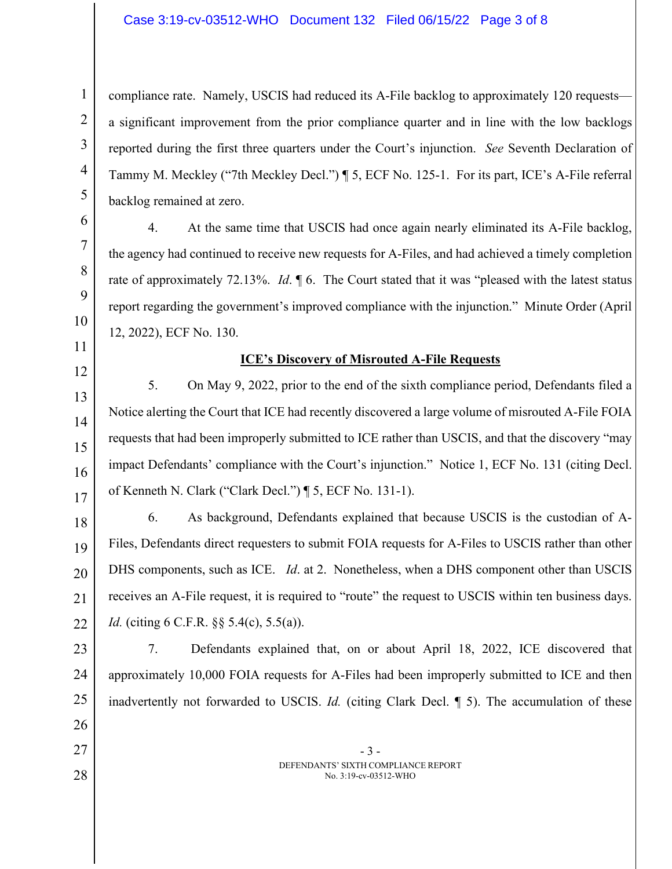## Case 3:19-cv-03512-WHO Document 132 Filed 06/15/22 Page 3 of 8

compliance rate. Namely, USCIS had reduced its A-File backlog to approximately 120 requests a significant improvement from the prior compliance quarter and in line with the low backlogs reported during the first three quarters under the Court's injunction. *See* Seventh Declaration of Tammy M. Meckley ("7th Meckley Decl.") ¶ 5, ECF No. 125-1. For its part, ICE's A-File referral backlog remained at zero.

4. At the same time that USCIS had once again nearly eliminated its A-File backlog,

the agency had continued to receive new requests for A-Files, and had achieved a timely completion

rate of approximately 72.13%. *Id*. ¶ 6. The Court stated that it was "pleased with the latest status

report regarding the government's improved compliance with the injunction." Minute Order (April

1

2

3

4

5

12

12, 2022), ECF No. 130.

- 
- 13

26

27

28

## **ICE's Discovery of Misrouted A-File Requests**

14 15 16 17 5. On May 9, 2022, prior to the end of the sixth compliance period, Defendants filed a Notice alerting the Court that ICE had recently discovered a large volume of misrouted A-File FOIA requests that had been improperly submitted to ICE rather than USCIS, and that the discovery "may impact Defendants' compliance with the Court's injunction." Notice 1, ECF No. 131 (citing Decl. of Kenneth N. Clark ("Clark Decl.") ¶ 5, ECF No. 131-1).

18 19 20 21 22 6. As background, Defendants explained that because USCIS is the custodian of A-Files, Defendants direct requesters to submit FOIA requests for A-Files to USCIS rather than other DHS components, such as ICE. *Id*. at 2. Nonetheless, when a DHS component other than USCIS receives an A-File request, it is required to "route" the request to USCIS within ten business days. *Id.* (citing 6 C.F.R. §§ 5.4(c), 5.5(a)).

23 24 25 7. Defendants explained that, on or about April 18, 2022, ICE discovered that approximately 10,000 FOIA requests for A-Files had been improperly submitted to ICE and then inadvertently not forwarded to USCIS. *Id.* (citing Clark Decl. ¶ 5). The accumulation of these

> - 3 - DEFENDANTS' SIXTH COMPLIANCE REPORT No. 3:19-cv-03512-WHO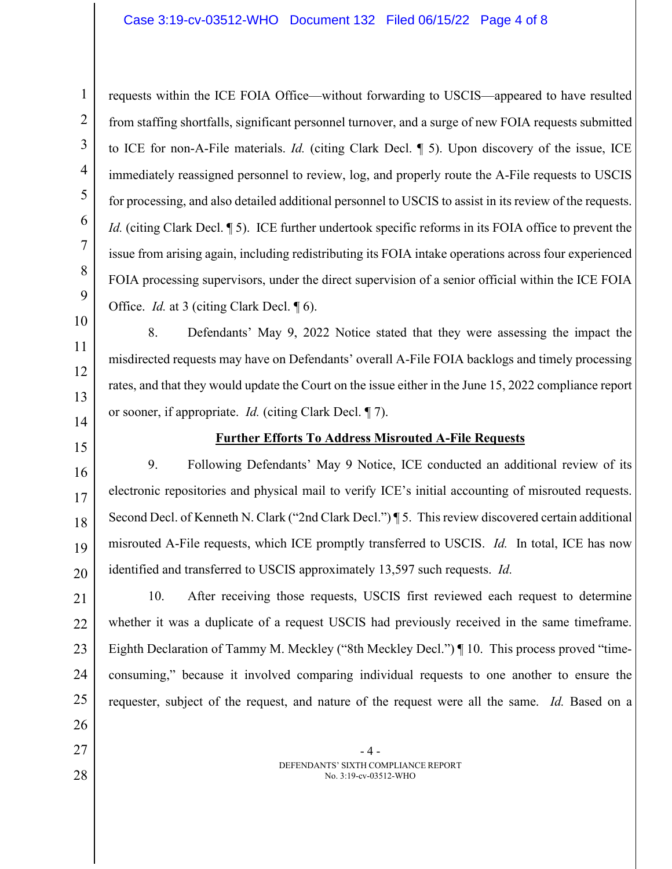6 9 requests within the ICE FOIA Office—without forwarding to USCIS—appeared to have resulted from staffing shortfalls, significant personnel turnover, and a surge of new FOIA requests submitted to ICE for non-A-File materials. *Id.* (citing Clark Decl. ¶ 5). Upon discovery of the issue, ICE immediately reassigned personnel to review, log, and properly route the A-File requests to USCIS for processing, and also detailed additional personnel to USCIS to assist in its review of the requests. *Id.* (citing Clark Decl. 15). ICE further undertook specific reforms in its FOIA office to prevent the issue from arising again, including redistributing its FOIA intake operations across four experienced FOIA processing supervisors, under the direct supervision of a senior official within the ICE FOIA Office. *Id.* at 3 (citing Clark Decl. 16).

11 12

10

1

2

3

4

5

7

8

14

13

15

27

28

## **Further Efforts To Address Misrouted A-File Requests**

or sooner, if appropriate. *Id.* (citing Clark Decl. ¶ 7).

misdirected requests may have on Defendants' overall A-File FOIA backlogs and timely processing

rates, and that they would update the Court on the issue either in the June 15, 2022 compliance report

8. Defendants' May 9, 2022 Notice stated that they were assessing the impact the

16 17 18 19 20 9. Following Defendants' May 9 Notice, ICE conducted an additional review of its electronic repositories and physical mail to verify ICE's initial accounting of misrouted requests. Second Decl. of Kenneth N. Clark ("2nd Clark Decl.") ¶ 5. This review discovered certain additional misrouted A-File requests, which ICE promptly transferred to USCIS. *Id.* In total, ICE has now identified and transferred to USCIS approximately 13,597 such requests. *Id.* 

21 22 23 24 25 26 10. After receiving those requests, USCIS first reviewed each request to determine whether it was a duplicate of a request USCIS had previously received in the same timeframe. Eighth Declaration of Tammy M. Meckley ("8th Meckley Decl.") ¶ 10. This process proved "timeconsuming," because it involved comparing individual requests to one another to ensure the requester, subject of the request, and nature of the request were all the same. *Id.* Based on a

> - 4 - DEFENDANTS' SIXTH COMPLIANCE REPORT No. 3:19-cv-03512-WHO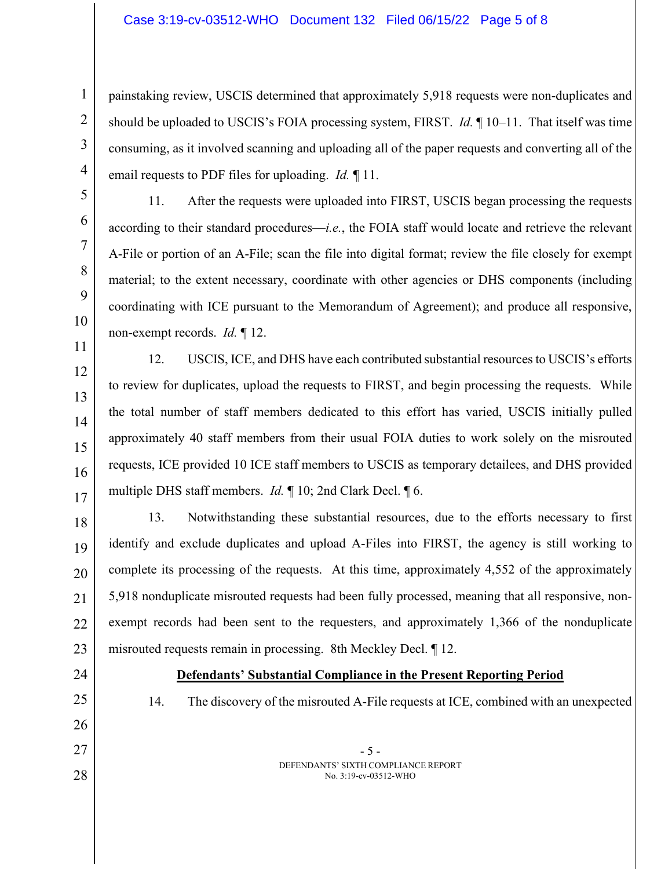painstaking review, USCIS determined that approximately 5,918 requests were non-duplicates and should be uploaded to USCIS's FOIA processing system, FIRST. *Id.* ¶ 10–11. That itself was time consuming, as it involved scanning and uploading all of the paper requests and converting all of the email requests to PDF files for uploading. *Id.* ¶ 11.

11. After the requests were uploaded into FIRST, USCIS began processing the requests according to their standard procedures—*i.e.*, the FOIA staff would locate and retrieve the relevant A-File or portion of an A-File; scan the file into digital format; review the file closely for exempt material; to the extent necessary, coordinate with other agencies or DHS components (including coordinating with ICE pursuant to the Memorandum of Agreement); and produce all responsive, non-exempt records. *Id.* ¶ 12.

11 13 14 15 16 17 12. USCIS, ICE, and DHS have each contributed substantial resources to USCIS's efforts to review for duplicates, upload the requests to FIRST, and begin processing the requests. While the total number of staff members dedicated to this effort has varied, USCIS initially pulled approximately 40 staff members from their usual FOIA duties to work solely on the misrouted requests, ICE provided 10 ICE staff members to USCIS as temporary detailees, and DHS provided multiple DHS staff members. *Id.* ¶ 10; 2nd Clark Decl. ¶ 6.

18 19 20 21 22 23 13. Notwithstanding these substantial resources, due to the efforts necessary to first identify and exclude duplicates and upload A-Files into FIRST, the agency is still working to complete its processing of the requests. At this time, approximately 4,552 of the approximately 5,918 nonduplicate misrouted requests had been fully processed, meaning that all responsive, nonexempt records had been sent to the requesters, and approximately 1,366 of the nonduplicate misrouted requests remain in processing. 8th Meckley Decl. ¶ 12.

24

25

26

27

28

1

2

3

4

5

6

7

8

9

10

12

- **Defendants' Substantial Compliance in the Present Reporting Period**
- 14. The discovery of the misrouted A-File requests at ICE, combined with an unexpected
	- 5 DEFENDANTS' SIXTH COMPLIANCE REPORT No. 3:19-cv-03512-WHO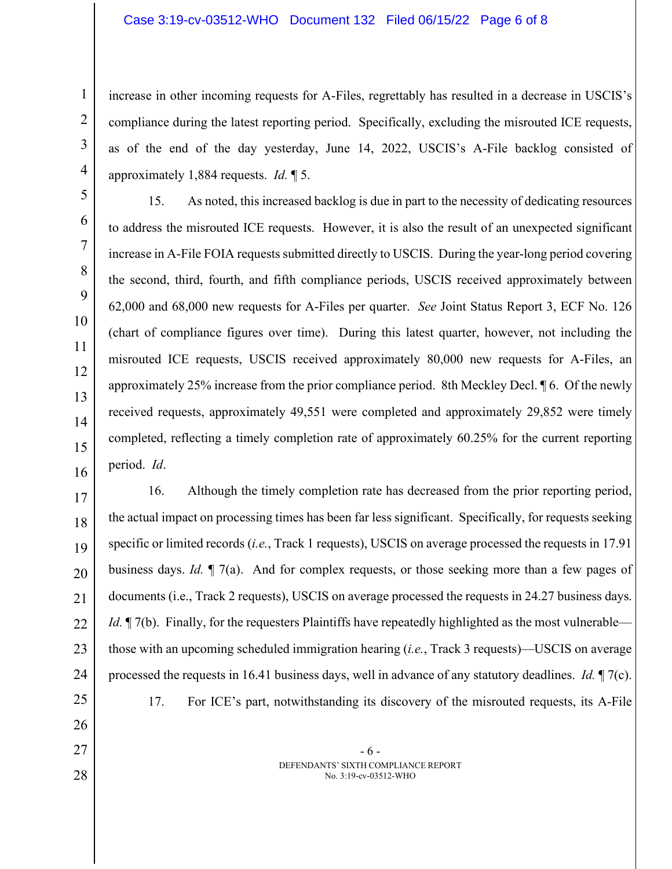## Case 3:19-cv-03512-WHO Document 132 Filed 06/15/22 Page 6 of 8

1

2

3

4

26

27

28

increase in other incoming requests for A-Files, regrettably has resulted in a decrease in USCIS's compliance during the latest reporting period. Specifically, excluding the misrouted ICE requests, as of the end of the day yesterday, June 14, 2022, USCIS's A-File backlog consisted of approximately 1,884 requests. *Id.* ¶ 5.

5 6 7 8 9 10 11 12 13 14 15 16 15. As noted, this increased backlog is due in part to the necessity of dedicating resources to address the misrouted ICE requests. However, it is also the result of an unexpected significant increase in A-File FOIA requests submitted directly to USCIS. During the year-long period covering the second, third, fourth, and fifth compliance periods, USCIS received approximately between 62,000 and 68,000 new requests for A-Files per quarter. *See* Joint Status Report 3, ECF No. 126 (chart of compliance figures over time). During this latest quarter, however, not including the misrouted ICE requests, USCIS received approximately 80,000 new requests for A-Files, an approximately 25% increase from the prior compliance period. 8th Meckley Decl. ¶ 6. Of the newly received requests, approximately 49,551 were completed and approximately 29,852 were timely completed, reflecting a timely completion rate of approximately 60.25% for the current reporting period. *Id*.

17 18 19 20 21 22 23 24 25 16. Although the timely completion rate has decreased from the prior reporting period, the actual impact on processing times has been far less significant. Specifically, for requests seeking specific or limited records (*i.e.*, Track 1 requests), USCIS on average processed the requests in 17.91 business days. *Id.* ¶ 7(a). And for complex requests, or those seeking more than a few pages of documents (i.e., Track 2 requests), USCIS on average processed the requests in 24.27 business days. *Id.*  $\mathbb{I}$  7(b). Finally, for the requesters Plaintiffs have repeatedly highlighted as the most vulnerable those with an upcoming scheduled immigration hearing (*i.e.*, Track 3 requests)—USCIS on average processed the requests in 16.41 business days, well in advance of any statutory deadlines. *Id.* ¶ 7(c). 17. For ICE's part, notwithstanding its discovery of the misrouted requests, its A-File

> - 6 - DEFENDANTS' SIXTH COMPLIANCE REPORT No. 3:19-cv-03512-WHO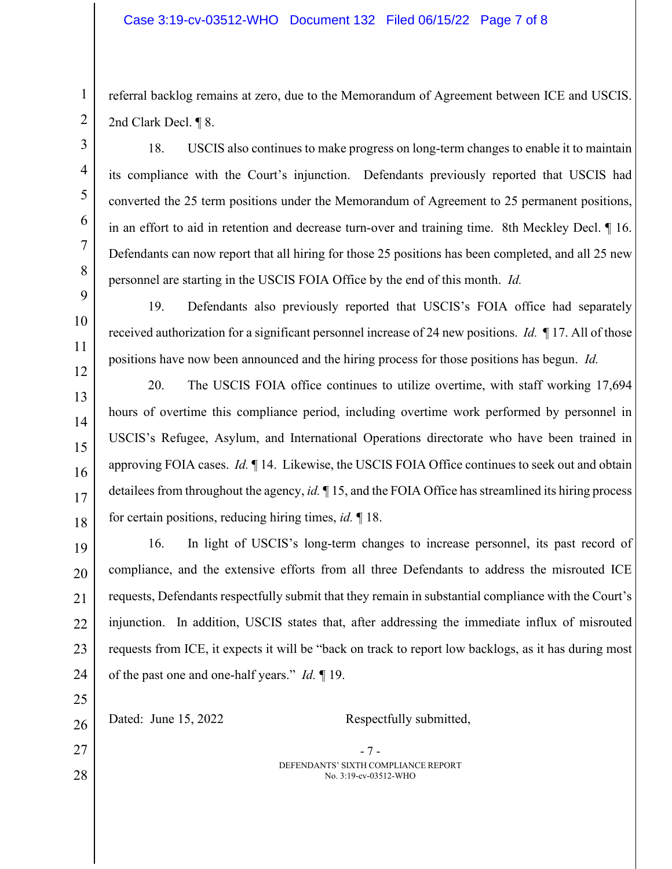referral backlog remains at zero, due to the Memorandum of Agreement between ICE and USCIS. 2nd Clark Decl. ¶ 8.

18. USCIS also continues to make progress on long-term changes to enable it to maintain its compliance with the Court's injunction. Defendants previously reported that USCIS had converted the 25 term positions under the Memorandum of Agreement to 25 permanent positions, in an effort to aid in retention and decrease turn-over and training time. 8th Meckley Decl. ¶ 16. Defendants can now report that all hiring for those 25 positions has been completed, and all 25 new personnel are starting in the USCIS FOIA Office by the end of this month. *Id.*

19. Defendants also previously reported that USCIS's FOIA office had separately received authorization for a significant personnel increase of 24 new positions. *Id.* ¶ 17. All of those positions have now been announced and the hiring process for those positions has begun. *Id.*

20. The USCIS FOIA office continues to utilize overtime, with staff working 17,694 hours of overtime this compliance period, including overtime work performed by personnel in USCIS's Refugee, Asylum, and International Operations directorate who have been trained in approving FOIA cases. *Id.* ¶ 14. Likewise, the USCIS FOIA Office continues to seek out and obtain detailees from throughout the agency, *id.* ¶ 15, and the FOIA Office has streamlined its hiring process for certain positions, reducing hiring times, *id.* ¶ 18.

24 16. In light of USCIS's long-term changes to increase personnel, its past record of compliance, and the extensive efforts from all three Defendants to address the misrouted ICE requests, Defendants respectfully submit that they remain in substantial compliance with the Court's injunction. In addition, USCIS states that, after addressing the immediate influx of misrouted requests from ICE, it expects it will be "back on track to report low backlogs, as it has during most of the past one and one-half years." *Id.* ¶ 19.

- 7 - DEFENDANTS' SIXTH COMPLIANCE REPORT No. 3:19-cv-03512-WHO 26 27 28 Dated: June 15, 2022 Respectfully submitted,

1

25